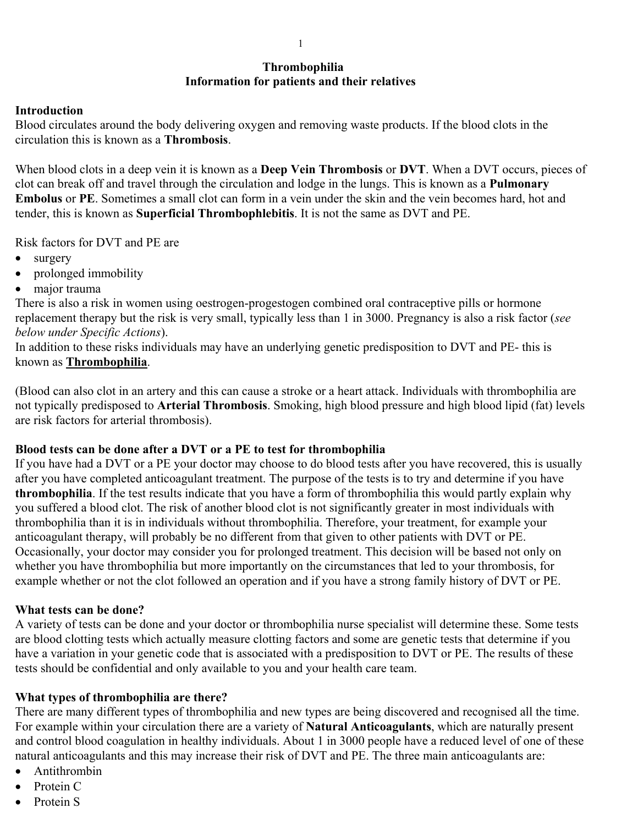# **Thrombophilia Information for patients and their relatives**

#### **Introduction**

Blood circulates around the body delivering oxygen and removing waste products. If the blood clots in the circulation this is known as a **Thrombosis**.

When blood clots in a deep vein it is known as a **Deep Vein Thrombosis** or **DVT**. When a DVT occurs, pieces of clot can break off and travel through the circulation and lodge in the lungs. This is known as a **Pulmonary Embolus** or **PE**. Sometimes a small clot can form in a vein under the skin and the vein becomes hard, hot and tender, this is known as **Superficial Thrombophlebitis**. It is not the same as DVT and PE.

Risk factors for DVT and PE are

- surgery
- prolonged immobility
- major trauma

There is also a risk in women using oestrogen-progestogen combined oral contraceptive pills or hormone replacement therapy but the risk is very small, typically less than 1 in 3000. Pregnancy is also a risk factor (*see below under Specific Actions*).

In addition to these risks individuals may have an underlying genetic predisposition to DVT and PE- this is known as **Thrombophilia**.

(Blood can also clot in an artery and this can cause a stroke or a heart attack. Individuals with thrombophilia are not typically predisposed to **Arterial Thrombosis**. Smoking, high blood pressure and high blood lipid (fat) levels are risk factors for arterial thrombosis).

#### **Blood tests can be done after a DVT or a PE to test for thrombophilia**

If you have had a DVT or a PE your doctor may choose to do blood tests after you have recovered, this is usually after you have completed anticoagulant treatment. The purpose of the tests is to try and determine if you have **thrombophilia**. If the test results indicate that you have a form of thrombophilia this would partly explain why you suffered a blood clot. The risk of another blood clot is not significantly greater in most individuals with thrombophilia than it is in individuals without thrombophilia. Therefore, your treatment, for example your anticoagulant therapy, will probably be no different from that given to other patients with DVT or PE. Occasionally, your doctor may consider you for prolonged treatment. This decision will be based not only on whether you have thrombophilia but more importantly on the circumstances that led to your thrombosis, for example whether or not the clot followed an operation and if you have a strong family history of DVT or PE.

#### **What tests can be done?**

A variety of tests can be done and your doctor or thrombophilia nurse specialist will determine these. Some tests are blood clotting tests which actually measure clotting factors and some are genetic tests that determine if you have a variation in your genetic code that is associated with a predisposition to DVT or PE. The results of these tests should be confidential and only available to you and your health care team.

#### **What types of thrombophilia are there?**

There are many different types of thrombophilia and new types are being discovered and recognised all the time. For example within your circulation there are a variety of **Natural Anticoagulants**, which are naturally present and control blood coagulation in healthy individuals. About 1 in 3000 people have a reduced level of one of these natural anticoagulants and this may increase their risk of DVT and PE. The three main anticoagulants are:

- Antithrombin
- Protein C
- Protein S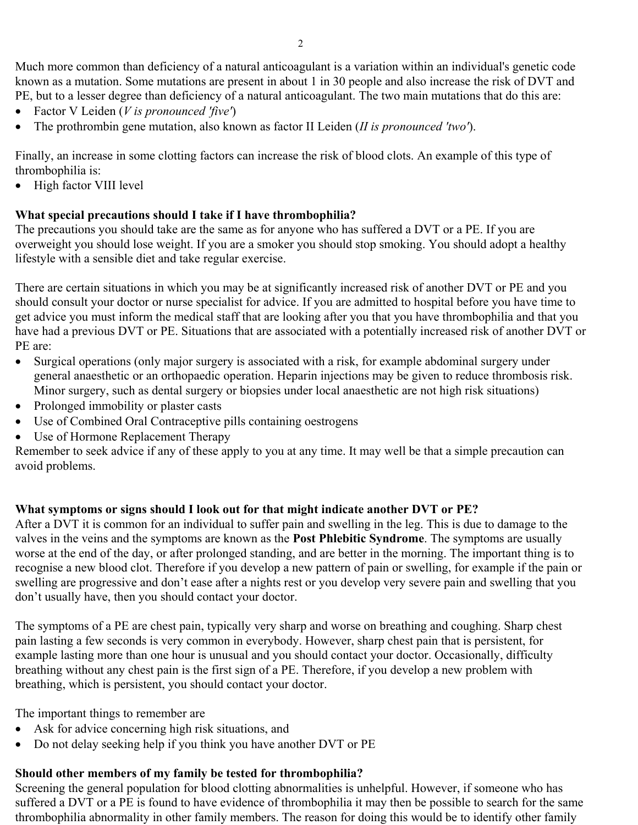Much more common than deficiency of a natural anticoagulant is a variation within an individual's genetic code known as a mutation. Some mutations are present in about 1 in 30 people and also increase the risk of DVT and PE, but to a lesser degree than deficiency of a natural anticoagulant. The two main mutations that do this are:

- Factor V Leiden (*V is pronounced 'five'*)
- The prothrombin gene mutation, also known as factor II Leiden (*II is pronounced 'two'*).

Finally, an increase in some clotting factors can increase the risk of blood clots. An example of this type of thrombophilia is:

• High factor VIII level

# **What special precautions should I take if I have thrombophilia?**

The precautions you should take are the same as for anyone who has suffered a DVT or a PE. If you are overweight you should lose weight. If you are a smoker you should stop smoking. You should adopt a healthy lifestyle with a sensible diet and take regular exercise.

There are certain situations in which you may be at significantly increased risk of another DVT or PE and you should consult your doctor or nurse specialist for advice. If you are admitted to hospital before you have time to get advice you must inform the medical staff that are looking after you that you have thrombophilia and that you have had a previous DVT or PE. Situations that are associated with a potentially increased risk of another DVT or PE are:

- Surgical operations (only major surgery is associated with a risk, for example abdominal surgery under general anaesthetic or an orthopaedic operation. Heparin injections may be given to reduce thrombosis risk. Minor surgery, such as dental surgery or biopsies under local anaesthetic are not high risk situations)
- Prolonged immobility or plaster casts
- Use of Combined Oral Contraceptive pills containing oestrogens
- Use of Hormone Replacement Therapy

Remember to seek advice if any of these apply to you at any time. It may well be that a simple precaution can avoid problems.

### **What symptoms or signs should I look out for that might indicate another DVT or PE?**

After a DVT it is common for an individual to suffer pain and swelling in the leg. This is due to damage to the valves in the veins and the symptoms are known as the **Post Phlebitic Syndrome**. The symptoms are usually worse at the end of the day, or after prolonged standing, and are better in the morning. The important thing is to recognise a new blood clot. Therefore if you develop a new pattern of pain or swelling, for example if the pain or swelling are progressive and don't ease after a nights rest or you develop very severe pain and swelling that you don't usually have, then you should contact your doctor.

The symptoms of a PE are chest pain, typically very sharp and worse on breathing and coughing. Sharp chest pain lasting a few seconds is very common in everybody. However, sharp chest pain that is persistent, for example lasting more than one hour is unusual and you should contact your doctor. Occasionally, difficulty breathing without any chest pain is the first sign of a PE. Therefore, if you develop a new problem with breathing, which is persistent, you should contact your doctor.

The important things to remember are

- Ask for advice concerning high risk situations, and
- Do not delay seeking help if you think you have another DVT or PE

### **Should other members of my family be tested for thrombophilia?**

Screening the general population for blood clotting abnormalities is unhelpful. However, if someone who has suffered a DVT or a PE is found to have evidence of thrombophilia it may then be possible to search for the same thrombophilia abnormality in other family members. The reason for doing this would be to identify other family